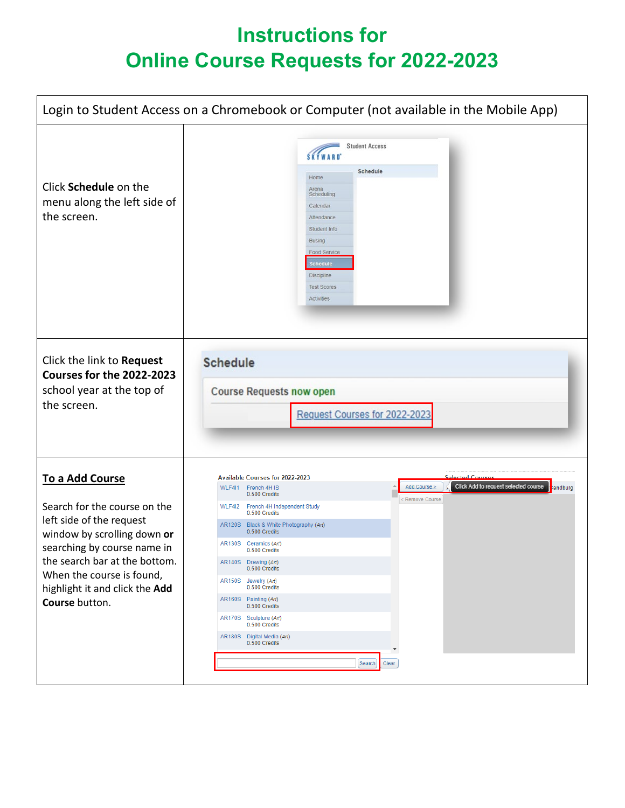## **Instructions for Online Course Requests for 2022-2023**

| Login to Student Access on a Chromebook or Computer (not available in the Mobile App)                                                                                                                                                                       |                                                                                                                                                                                                                                                                                                                                                                                                                                                                                                                                                                                              |  |
|-------------------------------------------------------------------------------------------------------------------------------------------------------------------------------------------------------------------------------------------------------------|----------------------------------------------------------------------------------------------------------------------------------------------------------------------------------------------------------------------------------------------------------------------------------------------------------------------------------------------------------------------------------------------------------------------------------------------------------------------------------------------------------------------------------------------------------------------------------------------|--|
| Click Schedule on the<br>menu along the left side of<br>the screen.                                                                                                                                                                                         | <b>Student Access</b><br><b>SKÝWARD</b><br>Schedule<br>Home<br>Arena<br>Scheduling<br>Calendar<br>Attendance<br>Student Info<br>Busing<br>Food Service<br>Schedule<br>Discipline<br><b>Test Scores</b><br>Activities                                                                                                                                                                                                                                                                                                                                                                         |  |
| Click the link to Request<br>Courses for the 2022-2023<br>school year at the top of<br>the screen.                                                                                                                                                          | <b>Schedule</b><br><b>Course Requests now open</b><br>Request Courses for 2022-2023                                                                                                                                                                                                                                                                                                                                                                                                                                                                                                          |  |
| To a Add Course<br>Search for the course on the<br>left side of the request<br>window by scrolling down or<br>searching by course name in<br>the search bar at the bottom.<br>When the course is found,<br>highlight it and click the Add<br>Course button. | Selected Courses<br>Available Courses for 2022-2023<br>Click Add to request selected course<br>Add Course ><br><b>Sandburg</b><br>WLF4I1 French 4H IS<br>0.500 Credits<br>Remove Course<br>WLF4I2 French 4H Independent Study<br>0.500 Credits<br>AR120S Black & White Photography (Art)<br>0.500 Credits<br>AR130S Ceramics (Art)<br>0.500 Credits<br>AR140S Drawing (Art)<br>0.500 Credits<br>AR150S Jewelry (Art)<br>0.500 Credits<br>AR160S Painting (Art)<br>0.500 Credits<br>AR170S Sculpture (Art)<br>0.500 Credits<br>AR180S Digital Media (Art)<br>0.500 Credits<br>Search<br>Clear |  |